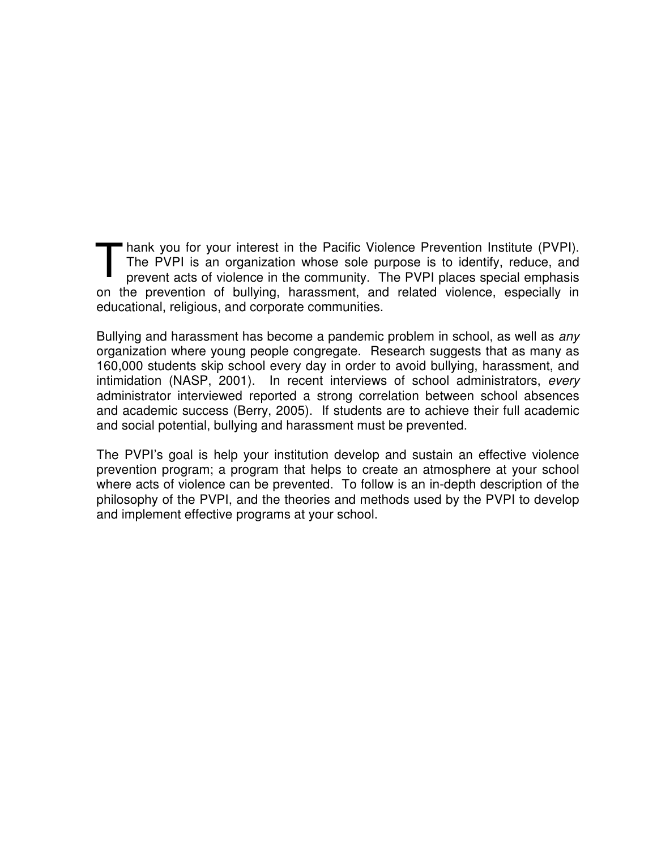hank you for your interest in the Pacific Violence Prevention Institute (PVPI). The PVPI is an organization whose sole purpose is to identify, reduce, and prevent acts of violence in the community. The PVPI places special emphasis on the prevention of bullying, harassment, and related violence, especially in educational, religious, and corporate communities. T

Bullying and harassment has become a pandemic problem in school, as well as any organization where young people congregate. Research suggests that as many as 160,000 students skip school every day in order to avoid bullying, harassment, and intimidation (NASP, 2001). In recent interviews of school administrators, every administrator interviewed reported a strong correlation between school absences and academic success (Berry, 2005). If students are to achieve their full academic and social potential, bullying and harassment must be prevented.

The PVPI's goal is help your institution develop and sustain an effective violence prevention program; a program that helps to create an atmosphere at your school where acts of violence can be prevented. To follow is an in-depth description of the philosophy of the PVPI, and the theories and methods used by the PVPI to develop and implement effective programs at your school.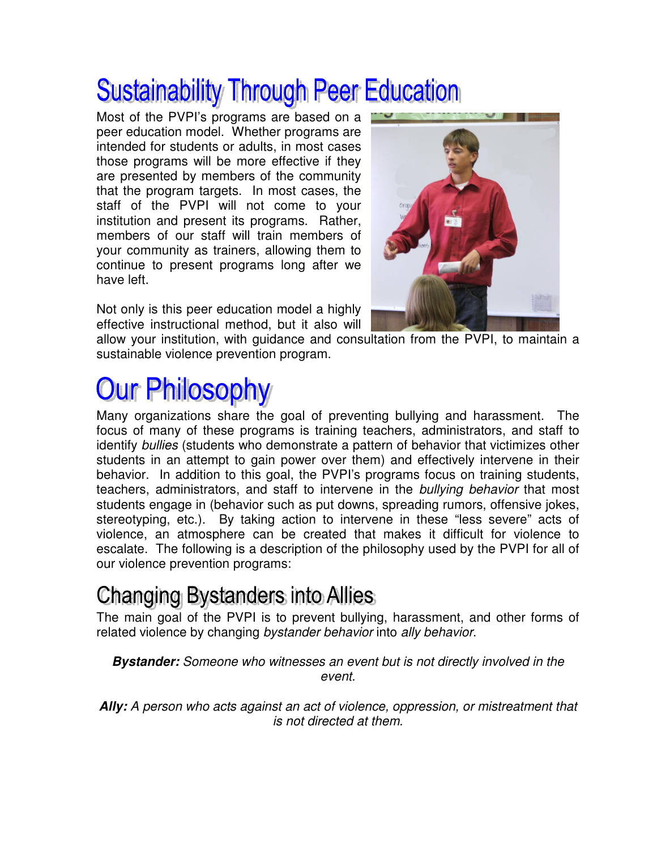# **Sustainability Through Peer Education**

Most of the PVPI's programs are based on a peer education model. Whether programs are intended for students or adults, in most cases those programs will be more effective if they are presented by members of the community that the program targets. In most cases, the staff of the PVPI will not come to your institution and present its programs. Rather, members of our staff will train members of your community as trainers, allowing them to continue to present programs long after we have left.



Not only is this peer education model a highly effective instructional method, but it also will

allow your institution, with guidance and consultation from the PVPI, to maintain a sustainable violence prevention program.

# Our Philosophy

Many organizations share the goal of preventing bullying and harassment. The focus of many of these programs is training teachers, administrators, and staff to identify bullies (students who demonstrate a pattern of behavior that victimizes other students in an attempt to gain power over them) and effectively intervene in their behavior. In addition to this goal, the PVPI's programs focus on training students, teachers, administrators, and staff to intervene in the *bullying behavior* that most students engage in (behavior such as put downs, spreading rumors, offensive jokes, stereotyping, etc.). By taking action to intervene in these "less severe" acts of violence, an atmosphere can be created that makes it difficult for violence to escalate. The following is a description of the philosophy used by the PVPI for all of our violence prevention programs:

## **Changing Bystanders into Allies**

The main goal of the PVPI is to prevent bullying, harassment, and other forms of related violence by changing bystander behavior into ally behavior.

**Bystander:** Someone who witnesses an event but is not directly involved in the event.

**Ally:** A person who acts against an act of violence, oppression, or mistreatment that is not directed at them.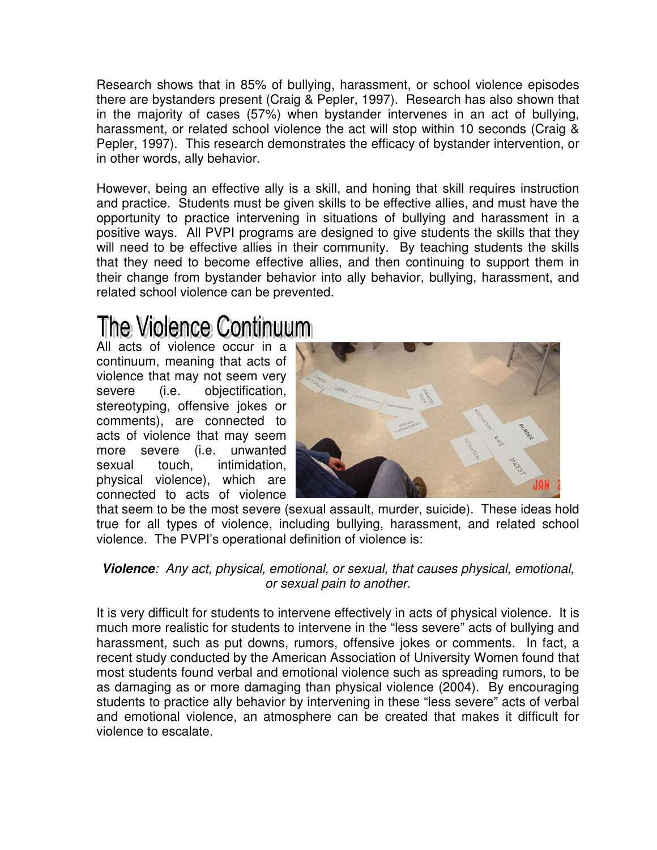Research shows that in 85% of bullying, harassment, or school violence episodes there are bystanders present (Craig & Pepler, 1997). Research has also shown that in the majority of cases (57%) when bystander intervenes in an act of bullying, harassment, or related school violence the act will stop within 10 seconds (Craig & Pepler, 1997). This research demonstrates the efficacy of bystander intervention, or in other words, ally behavior.

However, being an effective ally is a skill, and honing that skill requires instruction and practice. Students must be given skills to be effective allies, and must have the opportunity to practice intervening in situations of bullying and harassment in a positive ways. All PVPI programs are designed to give students the skills that they will need to be effective allies in their community. By teaching students the skills that they need to become effective allies, and then continuing to support them in their change from bystander behavior into ally behavior, bullying, harassment, and related school violence can be prevented.

## The Violence Continuum

All acts of violence occur in a continuum, meaning that acts of violence that may not seem very severe (i.e. objectification, stereotyping, offensive jokes or comments), are connected to acts of violence that may seem more severe (i.e. unwanted sexual touch, intimidation, physical violence), which are connected to acts of violence



that seem to be the most severe (sexual assault, murder, suicide). These ideas hold true for all types of violence, including bullying, harassment, and related school violence. The PVPI's operational definition of violence is:

**Violence**: Any act, physical, emotional, or sexual, that causes physical, emotional, or sexual pain to another.

It is very difficult for students to intervene effectively in acts of physical violence. It is much more realistic for students to intervene in the "less severe" acts of bullying and harassment, such as put downs, rumors, offensive jokes or comments. In fact, a recent study conducted by the American Association of University Women found that most students found verbal and emotional violence such as spreading rumors, to be as damaging as or more damaging than physical violence (2004). By encouraging students to practice ally behavior by intervening in these "less severe" acts of verbal and emotional violence, an atmosphere can be created that makes it difficult for violence to escalate.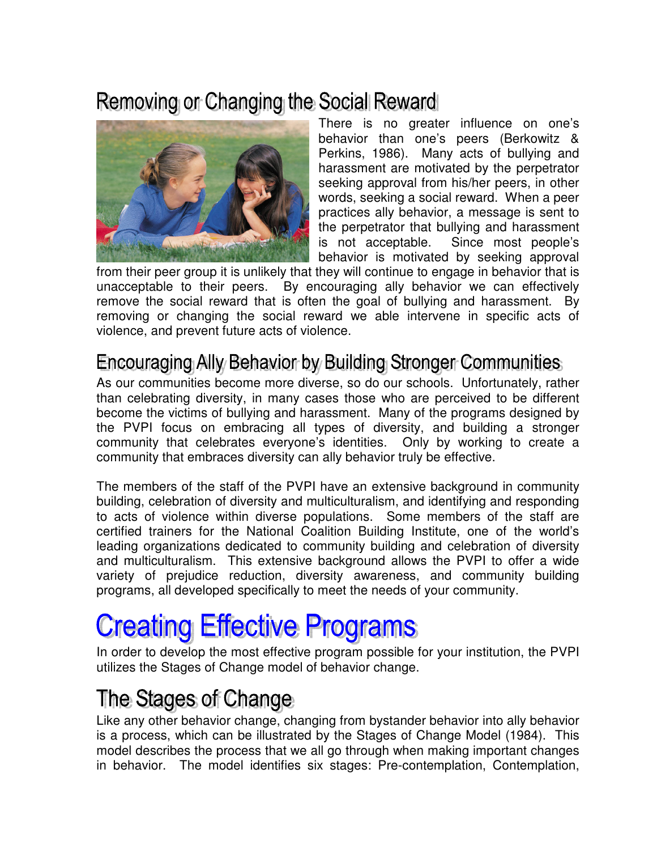

There is no greater influence on one's behavior than one's peers (Berkowitz & Perkins, 1986). Many acts of bullying and harassment are motivated by the perpetrator seeking approval from his/her peers, in other words, seeking a social reward. When a peer practices ally behavior, a message is sent to the perpetrator that bullying and harassment is not acceptable. Since most people's behavior is motivated by seeking approval

from their peer group it is unlikely that they will continue to engage in behavior that is unacceptable to their peers. By encouraging ally behavior we can effectively remove the social reward that is often the goal of bullying and harassment. By removing or changing the social reward we able intervene in specific acts of violence, and prevent future acts of violence.

### Encouraging Ally Behavior by Building Stronger Communities

As our communities become more diverse, so do our schools. Unfortunately, rather than celebrating diversity, in many cases those who are perceived to be different become the victims of bullying and harassment. Many of the programs designed by the PVPI focus on embracing all types of diversity, and building a stronger community that celebrates everyone's identities. Only by working to create a community that embraces diversity can ally behavior truly be effective.

The members of the staff of the PVPI have an extensive background in community building, celebration of diversity and multiculturalism, and identifying and responding to acts of violence within diverse populations. Some members of the staff are certified trainers for the National Coalition Building Institute, one of the world's leading organizations dedicated to community building and celebration of diversity and multiculturalism. This extensive background allows the PVPI to offer a wide variety of prejudice reduction, diversity awareness, and community building programs, all developed specifically to meet the needs of your community.

# $\overline{a}$

In order to develop the most effective program possible for your institution, the PVPI utilizes the Stages of Change model of behavior change.

## The Stages of Change

Like any other behavior change, changing from bystander behavior into ally behavior is a process, which can be illustrated by the Stages of Change Model (1984). This model describes the process that we all go through when making important changes in behavior. The model identifies six stages: Pre-contemplation, Contemplation,